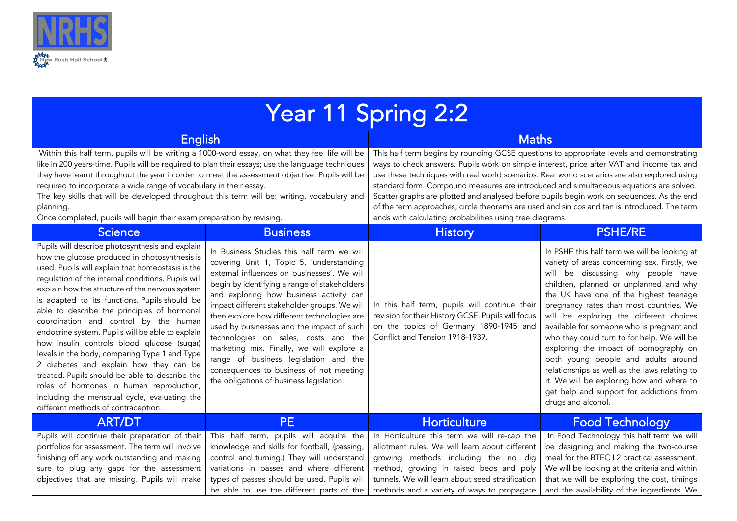

| Year 11 Spring 2:2                                                                                                                                                                                                                                                                                                                                                                                                                                                                                                                                                                                                                                                                                                                                                                         |                                                                                                                                                                                                                                                                                                                                                                                                                                                                                                                                                                                                   |                                                                                                                                                                                                                                                                                                                                                                                                                                                                                                                                                                                                                                                          |                                                                                                                                                                                                                                                                                                                                                                                                                                                                                                                                                                                                                                                           |  |  |
|--------------------------------------------------------------------------------------------------------------------------------------------------------------------------------------------------------------------------------------------------------------------------------------------------------------------------------------------------------------------------------------------------------------------------------------------------------------------------------------------------------------------------------------------------------------------------------------------------------------------------------------------------------------------------------------------------------------------------------------------------------------------------------------------|---------------------------------------------------------------------------------------------------------------------------------------------------------------------------------------------------------------------------------------------------------------------------------------------------------------------------------------------------------------------------------------------------------------------------------------------------------------------------------------------------------------------------------------------------------------------------------------------------|----------------------------------------------------------------------------------------------------------------------------------------------------------------------------------------------------------------------------------------------------------------------------------------------------------------------------------------------------------------------------------------------------------------------------------------------------------------------------------------------------------------------------------------------------------------------------------------------------------------------------------------------------------|-----------------------------------------------------------------------------------------------------------------------------------------------------------------------------------------------------------------------------------------------------------------------------------------------------------------------------------------------------------------------------------------------------------------------------------------------------------------------------------------------------------------------------------------------------------------------------------------------------------------------------------------------------------|--|--|
| <b>English</b><br>Within this half term, pupils will be writing a 1000-word essay, on what they feel life will be<br>like in 200 years-time. Pupils will be required to plan their essays; use the language techniques<br>they have learnt throughout the year in order to meet the assessment objective. Pupils will be<br>required to incorporate a wide range of vocabulary in their essay.<br>The key skills that will be developed throughout this term will be: writing, vocabulary and<br>planning.<br>Once completed, pupils will begin their exam preparation by revising.                                                                                                                                                                                                        |                                                                                                                                                                                                                                                                                                                                                                                                                                                                                                                                                                                                   | <b>Maths</b><br>This half term begins by rounding GCSE questions to appropriate levels and demonstrating<br>ways to check answers. Pupils work on simple interest, price after VAT and income tax and<br>use these techniques with real world scenarios. Real world scenarios are also explored using<br>standard form. Compound measures are introduced and simultaneous equations are solved.<br>Scatter graphs are plotted and analysed before pupils begin work on sequences. As the end<br>of the term approaches, circle theorems are used and sin cos and tan is introduced. The term<br>ends with calculating probabilities using tree diagrams. |                                                                                                                                                                                                                                                                                                                                                                                                                                                                                                                                                                                                                                                           |  |  |
| Science                                                                                                                                                                                                                                                                                                                                                                                                                                                                                                                                                                                                                                                                                                                                                                                    | <b>Business</b>                                                                                                                                                                                                                                                                                                                                                                                                                                                                                                                                                                                   | <b>History</b>                                                                                                                                                                                                                                                                                                                                                                                                                                                                                                                                                                                                                                           | <b>PSHE/RE</b>                                                                                                                                                                                                                                                                                                                                                                                                                                                                                                                                                                                                                                            |  |  |
| Pupils will describe photosynthesis and explain<br>how the glucose produced in photosynthesis is<br>used. Pupils will explain that homeostasis is the<br>regulation of the internal conditions. Pupils will<br>explain how the structure of the nervous system<br>is adapted to its functions. Pupils should be<br>able to describe the principles of hormonal<br>coordination and control by the human<br>endocrine system. Pupils will be able to explain<br>how insulin controls blood glucose (sugar)<br>levels in the body, comparing Type 1 and Type<br>2 diabetes and explain how they can be<br>treated. Pupils should be able to describe the<br>roles of hormones in human reproduction,<br>including the menstrual cycle, evaluating the<br>different methods of contraception. | In Business Studies this half term we will<br>covering Unit 1, Topic 5, 'understanding<br>external influences on businesses'. We will<br>begin by identifying a range of stakeholders<br>and exploring how business activity can<br>impact different stakeholder groups. We will<br>then explore how different technologies are<br>used by businesses and the impact of such<br>technologies on sales, costs and the<br>marketing mix. Finally, we will explore a<br>range of business legislation and the<br>consequences to business of not meeting<br>the obligations of business legislation. | In this half term, pupils will continue their<br>revision for their History GCSE. Pupils will focus<br>on the topics of Germany 1890-1945 and<br>Conflict and Tension 1918-1939.                                                                                                                                                                                                                                                                                                                                                                                                                                                                         | In PSHE this half term we will be looking at<br>variety of areas concerning sex. Firstly, we<br>will be discussing why people have<br>children, planned or unplanned and why<br>the UK have one of the highest teenage<br>pregnancy rates than most countries. We<br>will be exploring the different choices<br>available for someone who is pregnant and<br>who they could turn to for help. We will be<br>exploring the impact of pornography on<br>both young people and adults around<br>relationships as well as the laws relating to<br>it. We will be exploring how and where to<br>get help and support for addictions from<br>drugs and alcohol. |  |  |
| <b>ART/DT</b>                                                                                                                                                                                                                                                                                                                                                                                                                                                                                                                                                                                                                                                                                                                                                                              | <b>PE</b>                                                                                                                                                                                                                                                                                                                                                                                                                                                                                                                                                                                         | <b>Horticulture</b>                                                                                                                                                                                                                                                                                                                                                                                                                                                                                                                                                                                                                                      | <b>Food Technology</b>                                                                                                                                                                                                                                                                                                                                                                                                                                                                                                                                                                                                                                    |  |  |
| Pupils will continue their preparation of their<br>portfolios for assessment. The term will involve<br>finishing off any work outstanding and making<br>sure to plug any gaps for the assessment<br>objectives that are missing. Pupils will make                                                                                                                                                                                                                                                                                                                                                                                                                                                                                                                                          | This half term, pupils will acquire the<br>knowledge and skills for football, (passing,<br>control and turning.) They will understand<br>variations in passes and where different<br>types of passes should be used. Pupils will<br>be able to use the different parts of the                                                                                                                                                                                                                                                                                                                     | In Horticulture this term we will re-cap the<br>allotment rules. We will learn about different<br>growing methods including the no dig<br>method, growing in raised beds and poly<br>tunnels. We will learn about seed stratification<br>methods and a variety of ways to propagate                                                                                                                                                                                                                                                                                                                                                                      | In Food Technology this half term we will<br>be designing and making the two-course<br>meal for the BTEC L2 practical assessment.<br>We will be looking at the criteria and within<br>that we will be exploring the cost, timings<br>and the availability of the ingredients. We                                                                                                                                                                                                                                                                                                                                                                          |  |  |